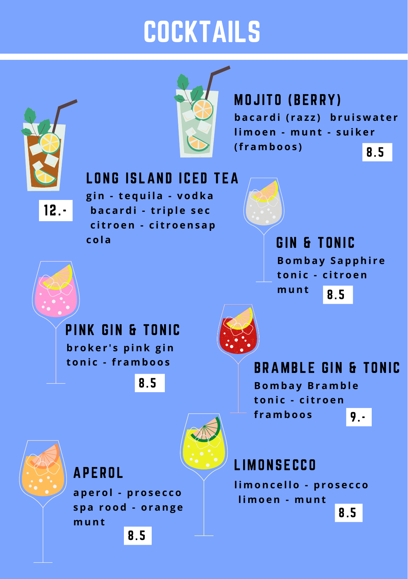## **COCKTAILS**



**MOJITO (BERRY) b a c a r d i ( r a z z ) b rui s w a t e r l imo en - munt - sui k e r (f r amb o o s )** 8.5

#### LONG ISLAND ICED TEA

12.-

**g in - t e qui l a - v o d k a b a c a r d i - t r i p l e s e c c i t r o en - c i t r o ens a p c o l a**



GIN & TONIC **Bomb a y S a p phi r e t oni c - c i t r o en munt** 8.5

PINK GIN & TONIC **b r o k e r ' s p ink g in t oni c - f r amb o o s**

8.5



BRAMBLE GIN & TONIC **Bomb a y Br amb l e t oni c - c i t r o en f r amb o o s** 9.-



#### APEROL

**a p e r o l - p r o s e c c o s p a r o o d - o r ang e munt** 8.5

**LIMONSECCO** 

**l imonc e l l o - p r o s e c c o l imo en - munt**

8.5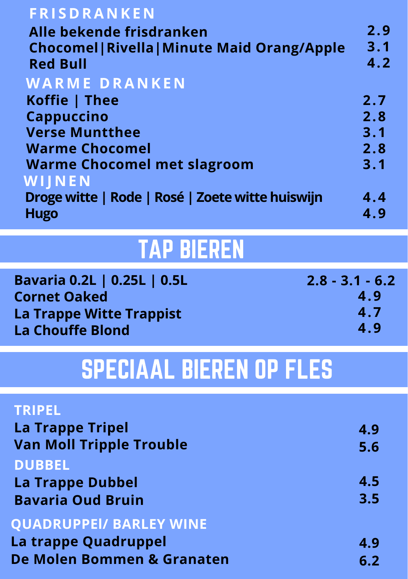| <b>FRISDRANKEN</b>                                  |     |
|-----------------------------------------------------|-----|
| Alle bekende frisdranken                            | 2.9 |
| <b>Chocomel   Rivella   Minute Maid Orang/Apple</b> | 3.1 |
| <b>Red Bull</b>                                     | 4.2 |
| <b>WARME DRANKEN</b>                                |     |
| Koffie   Thee                                       | 2.7 |
| <b>Cappuccino</b>                                   | 2.8 |
| <b>Verse Muntthee</b>                               | 3.1 |
| <b>Warme Chocomel</b>                               | 2.8 |
| <b>Warme Chocomel met slagroom</b>                  | 3.1 |
| WIJNEN                                              |     |
| Droge witte   Rode   Rosé   Zoete witte huiswijn    | 4.4 |
| <b>Hugo</b>                                         | 4.9 |

## TAP BIEREN

| Bavaria 0.2L   0.25L   0.5L | $2.8 - 3.1 - 6.2$ |
|-----------------------------|-------------------|
| <b>Cornet Oaked</b>         | 4.9               |
| La Trappe Witte Trappist    | 4.7               |
| <b>La Chouffe Blond</b>     | 4.9               |

## SPECIAAL BIEREN OP FLES

| <b>TRIPEL</b>                   |     |
|---------------------------------|-----|
| <b>La Trappe Tripel</b>         | 4.9 |
| <b>Van Moll Tripple Trouble</b> | 5.6 |
| <b>DUBBEL</b>                   |     |
| <b>La Trappe Dubbel</b>         | 4.5 |
| <b>Bavaria Oud Bruin</b>        | 3.5 |
| <b>QUADRUPPEI/ BARLEY WINE</b>  |     |
| La trappe Quadruppel            | 4.9 |
| De Molen Bommen & Granaten      | 6.2 |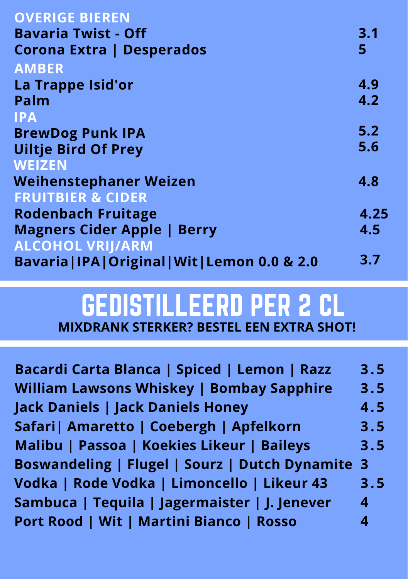| <b>OVERIGE BIEREN</b>                            |      |
|--------------------------------------------------|------|
| <b>Bavaria Twist - Off</b>                       | 3.1  |
| <b>Corona Extra   Desperados</b>                 | 5    |
| <b>AMBER</b>                                     |      |
| La Trappe Isid'or                                | 4.9  |
| Palm                                             | 4.2  |
| <b>IPA</b>                                       |      |
| <b>BrewDog Punk IPA</b>                          | 5.2  |
| <b>Uiltje Bird Of Prey</b>                       | 5.6  |
| <b>WEIZEN</b>                                    |      |
| <b>Weihenstephaner Weizen</b>                    | 4.8  |
| <b>FRUITBIER &amp; CIDER</b>                     |      |
| <b>Rodenbach Fruitage</b>                        | 4.25 |
| <b>Magners Cider Apple   Berry</b>               | 4.5  |
| <b>ALCOHOL VRIJ/ARM</b>                          |      |
| Bavaria   IPA   Original   Wit   Lemon 0.0 & 2.0 | 3.7  |

#### GEDISTILLEERD PER 2 CL **MIXDRANK STERKER? BESTEL EEN EXTRA SHOT!**

**Bacardi Carta Blanca | Spiced | Lemon | Razz William Lawsons Whiskey | Bombay Sapphire Jack Daniels | Jack Daniels Honey Safari| Amaretto | Coebergh | Apfelkorn Malibu | Passoa | Koekies Likeur | Baileys 3 . 5 3 . 5 4 . 5 3 . 5 3 . 5 3 Boswandeling | Flugel | Sourz | Dutch Dynamite 3 . 5 4 4 Vodka | Rode Vodka | Limoncello | Likeur 43 Sambuca | Tequila | Jagermaister | J. Jenever Port Rood | Wit | Martini Bianco | Rosso**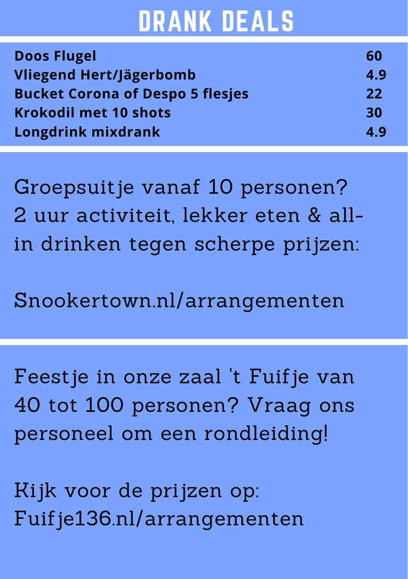## DRANK DEALS

| <b>Doos Flugel</b>                      | 60  |
|-----------------------------------------|-----|
| Vliegend Hert/Jägerbomb                 | 4.9 |
| <b>Bucket Corona of Despo 5 flesjes</b> | 22  |
| <b>Krokodil met 10 shots</b>            | 30  |
| Longdrink mixdrank                      | 4.9 |

Groepsuitje vanaf 10 personen? 2 uur activiteit, lekker eten & allin drinken tegen scherpe prijzen:

Snookertown.nl/arrangementen

Feestje in onze zaal 't Fuifje van 40 tot 100 personen? Vraag ons personeel om een rondleiding!

Kijk voor de prijzen op: Fuifje136.nl/arrangementen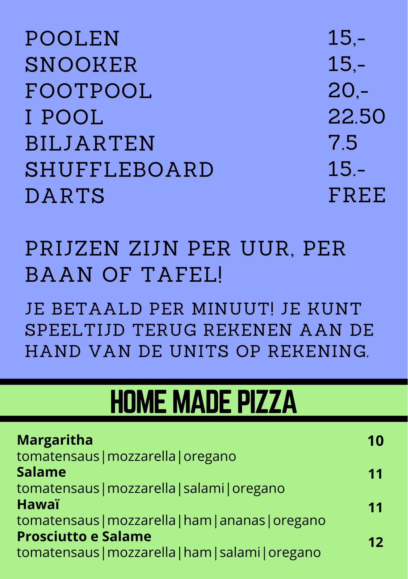| <b>POOLEN</b>       | $15 -$  |
|---------------------|---------|
| <b>SNOOKER</b>      | $15 -$  |
| FOOTPOOL            | $20 -$  |
| I POOL              | 22.50   |
| <b>BILJARTEN</b>    | 7.5     |
| <b>SHUFFLEBOARD</b> | $15. -$ |
| <b>DARTS</b>        | FREE    |

### PRIJZEN ZIJN PER UUR, PER BAAN OF TAFEL!

JE BETAALD PER MINUUT JE KUNT SPEELTIJD TERUG REKENEN AAN DE HAND VAN DE UNITS OP REKENING.

## **HOME MADE PIZZA**

| <b>Margaritha</b>                                 | 10 |
|---------------------------------------------------|----|
| tomatensaus   mozzarella   oregano                |    |
| <b>Salame</b>                                     | 11 |
| tomatensaus   mozzarella   salami   oregano       |    |
| <b>Hawaï</b>                                      | 11 |
| tomatensaus   mozzarella   ham   ananas   oregano |    |
| <b>Prosciutto e Salame</b>                        | 12 |
| tomatensaus   mozzarella   ham   salami   oregano |    |